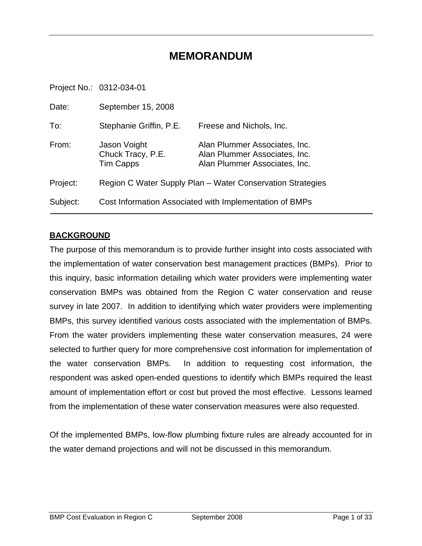# **MEMORANDUM**

Project No.: 0312-034-01

| Date:    | September 15, 2008                                    |                                                                                                 |
|----------|-------------------------------------------------------|-------------------------------------------------------------------------------------------------|
| To:      | Stephanie Griffin, P.E.                               | Freese and Nichols, Inc.                                                                        |
| From:    | Jason Voight<br>Chuck Tracy, P.E.<br><b>Tim Capps</b> | Alan Plummer Associates, Inc.<br>Alan Plummer Associates, Inc.<br>Alan Plummer Associates, Inc. |
| Project: |                                                       | Region C Water Supply Plan – Water Conservation Strategies                                      |
| Subject: |                                                       | Cost Information Associated with Implementation of BMPs                                         |

#### **BACKGROUND**

The purpose of this memorandum is to provide further insight into costs associated with the implementation of water conservation best management practices (BMPs). Prior to this inquiry, basic information detailing which water providers were implementing water conservation BMPs was obtained from the Region C water conservation and reuse survey in late 2007. In addition to identifying which water providers were implementing BMPs, this survey identified various costs associated with the implementation of BMPs. From the water providers implementing these water conservation measures, 24 were selected to further query for more comprehensive cost information for implementation of the water conservation BMPs. In addition to requesting cost information, the respondent was asked open-ended questions to identify which BMPs required the least amount of implementation effort or cost but proved the most effective. Lessons learned from the implementation of these water conservation measures were also requested.

Of the implemented BMPs, low-flow plumbing fixture rules are already accounted for in the water demand projections and will not be discussed in this memorandum.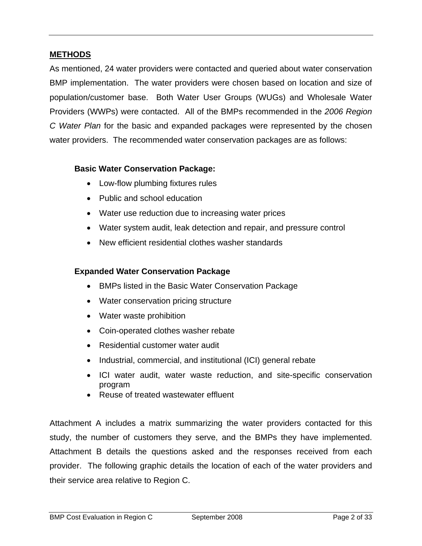#### **METHODS**

As mentioned, 24 water providers were contacted and queried about water conservation BMP implementation. The water providers were chosen based on location and size of population/customer base. Both Water User Groups (WUGs) and Wholesale Water Providers (WWPs) were contacted. All of the BMPs recommended in the *2006 Region C Water Plan* for the basic and expanded packages were represented by the chosen water providers. The recommended water conservation packages are as follows:

#### **Basic Water Conservation Package:**

- Low-flow plumbing fixtures rules
- Public and school education
- Water use reduction due to increasing water prices
- Water system audit, leak detection and repair, and pressure control
- New efficient residential clothes washer standards

#### **Expanded Water Conservation Package**

- BMPs listed in the Basic Water Conservation Package
- Water conservation pricing structure
- Water waste prohibition
- Coin-operated clothes washer rebate
- Residential customer water audit
- Industrial, commercial, and institutional (ICI) general rebate
- ICI water audit, water waste reduction, and site-specific conservation program
- Reuse of treated wastewater effluent

Attachment A includes a matrix summarizing the water providers contacted for this study, the number of customers they serve, and the BMPs they have implemented. Attachment B details the questions asked and the responses received from each provider. The following graphic details the location of each of the water providers and their service area relative to Region C.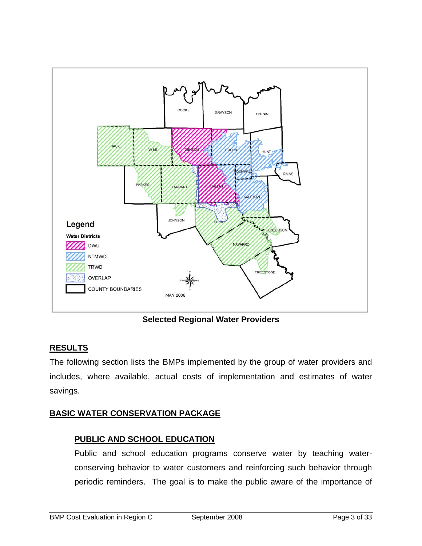

**Selected Regional Water Providers** 

# **RESULTS**

The following section lists the BMPs implemented by the group of water providers and includes, where available, actual costs of implementation and estimates of water savings.

## **BASIC WATER CONSERVATION PACKAGE**

#### **PUBLIC AND SCHOOL EDUCATION**

Public and school education programs conserve water by teaching waterconserving behavior to water customers and reinforcing such behavior through periodic reminders. The goal is to make the public aware of the importance of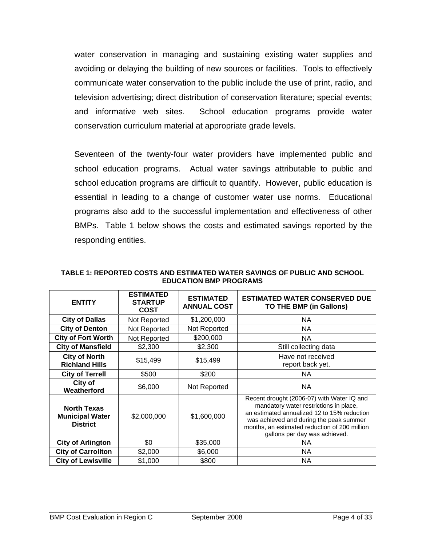water conservation in managing and sustaining existing water supplies and avoiding or delaying the building of new sources or facilities. Tools to effectively communicate water conservation to the public include the use of print, radio, and television advertising; direct distribution of conservation literature; special events; and informative web sites. School education programs provide water conservation curriculum material at appropriate grade levels.

Seventeen of the twenty-four water providers have implemented public and school education programs. Actual water savings attributable to public and school education programs are difficult to quantify. However, public education is essential in leading to a change of customer water use norms. Educational programs also add to the successful implementation and effectiveness of other BMPs. Table 1 below shows the costs and estimated savings reported by the responding entities.

| <b>ENTITY</b>                                                   | <b>ESTIMATED</b><br><b>STARTUP</b><br><b>COST</b> | <b>ESTIMATED</b><br><b>ANNUAL COST</b> | <b>ESTIMATED WATER CONSERVED DUE</b><br>TO THE BMP (in Gallons)                                                                                                                                                                                                  |
|-----------------------------------------------------------------|---------------------------------------------------|----------------------------------------|------------------------------------------------------------------------------------------------------------------------------------------------------------------------------------------------------------------------------------------------------------------|
| <b>City of Dallas</b>                                           | Not Reported                                      | \$1,200,000                            | NA.                                                                                                                                                                                                                                                              |
| <b>City of Denton</b>                                           | Not Reported                                      | Not Reported                           | ΝA                                                                                                                                                                                                                                                               |
| <b>City of Fort Worth</b>                                       | Not Reported                                      | \$200,000                              | ΝA                                                                                                                                                                                                                                                               |
| <b>City of Mansfield</b>                                        | \$2,300                                           | \$2,300                                | Still collecting data                                                                                                                                                                                                                                            |
| <b>City of North</b><br><b>Richland Hills</b>                   | \$15,499                                          | \$15,499                               | Have not received<br>report back yet.                                                                                                                                                                                                                            |
| <b>City of Terrell</b>                                          | \$500                                             | \$200                                  | NA                                                                                                                                                                                                                                                               |
| City of<br>Weatherford                                          | \$6,000                                           | Not Reported                           | NA.                                                                                                                                                                                                                                                              |
| <b>North Texas</b><br><b>Municipal Water</b><br><b>District</b> | \$2,000,000                                       | \$1,600,000                            | Recent drought (2006-07) with Water IQ and<br>mandatory water restrictions in place,<br>an estimated annualized 12 to 15% reduction<br>was achieved and during the peak summer<br>months, an estimated reduction of 200 million<br>gallons per day was achieved. |
| <b>City of Arlington</b>                                        | \$0                                               | \$35,000                               | ΝA                                                                                                                                                                                                                                                               |
| <b>City of Carrollton</b>                                       | \$2,000                                           | \$6,000                                | ΝA                                                                                                                                                                                                                                                               |
| <b>City of Lewisville</b>                                       | \$1,000                                           | \$800                                  | ΝA                                                                                                                                                                                                                                                               |

**TABLE 1: REPORTED COSTS AND ESTIMATED WATER SAVINGS OF PUBLIC AND SCHOOL EDUCATION BMP PROGRAMS**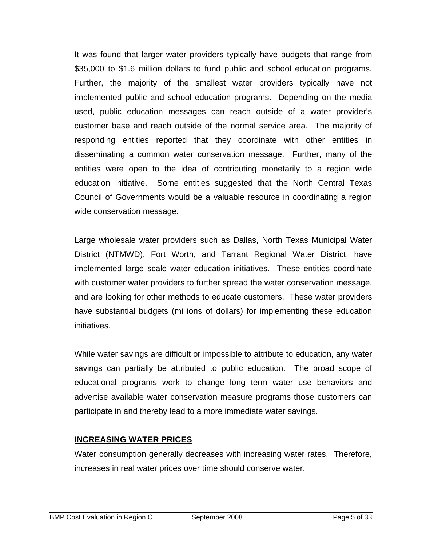It was found that larger water providers typically have budgets that range from \$35,000 to \$1.6 million dollars to fund public and school education programs. Further, the majority of the smallest water providers typically have not implemented public and school education programs. Depending on the media used, public education messages can reach outside of a water provider's customer base and reach outside of the normal service area. The majority of responding entities reported that they coordinate with other entities in disseminating a common water conservation message. Further, many of the entities were open to the idea of contributing monetarily to a region wide education initiative. Some entities suggested that the North Central Texas Council of Governments would be a valuable resource in coordinating a region wide conservation message.

Large wholesale water providers such as Dallas, North Texas Municipal Water District (NTMWD), Fort Worth, and Tarrant Regional Water District, have implemented large scale water education initiatives. These entities coordinate with customer water providers to further spread the water conservation message, and are looking for other methods to educate customers. These water providers have substantial budgets (millions of dollars) for implementing these education initiatives.

While water savings are difficult or impossible to attribute to education, any water savings can partially be attributed to public education. The broad scope of educational programs work to change long term water use behaviors and advertise available water conservation measure programs those customers can participate in and thereby lead to a more immediate water savings.

## **INCREASING WATER PRICES**

Water consumption generally decreases with increasing water rates. Therefore, increases in real water prices over time should conserve water.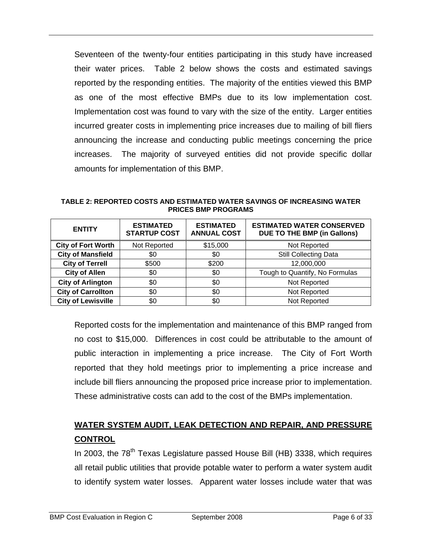Seventeen of the twenty-four entities participating in this study have increased their water prices. Table 2 below shows the costs and estimated savings reported by the responding entities. The majority of the entities viewed this BMP as one of the most effective BMPs due to its low implementation cost. Implementation cost was found to vary with the size of the entity. Larger entities incurred greater costs in implementing price increases due to mailing of bill fliers announcing the increase and conducting public meetings concerning the price increases. The majority of surveyed entities did not provide specific dollar amounts for implementation of this BMP.

**TABLE 2: REPORTED COSTS AND ESTIMATED WATER SAVINGS OF INCREASING WATER PRICES BMP PROGRAMS** 

| <b>ENTITY</b>                   | <b>ESTIMATED</b><br><b>STARTUP COST</b> | <b>ESTIMATED</b><br><b>ANNUAL COST</b> | <b>ESTIMATED WATER CONSERVED</b><br><b>DUE TO THE BMP (in Gallons)</b> |  |  |  |  |  |
|---------------------------------|-----------------------------------------|----------------------------------------|------------------------------------------------------------------------|--|--|--|--|--|
| <b>City of Fort Worth</b>       | Not Reported                            | \$15,000                               | Not Reported                                                           |  |  |  |  |  |
| <b>City of Mansfield</b>        | \$0                                     |                                        | <b>Still Collecting Data</b>                                           |  |  |  |  |  |
| <b>City of Terrell</b><br>\$500 |                                         | \$200                                  | 12,000,000                                                             |  |  |  |  |  |
| <b>City of Allen</b><br>\$0     |                                         | \$0                                    | Tough to Quantify, No Formulas                                         |  |  |  |  |  |
| <b>City of Arlington</b>        | \$0                                     |                                        | Not Reported                                                           |  |  |  |  |  |
| <b>City of Carrollton</b>       | \$0                                     | \$0                                    | Not Reported                                                           |  |  |  |  |  |
| <b>City of Lewisville</b>       | \$0                                     | \$0                                    | Not Reported                                                           |  |  |  |  |  |

Reported costs for the implementation and maintenance of this BMP ranged from no cost to \$15,000. Differences in cost could be attributable to the amount of public interaction in implementing a price increase. The City of Fort Worth reported that they hold meetings prior to implementing a price increase and include bill fliers announcing the proposed price increase prior to implementation. These administrative costs can add to the cost of the BMPs implementation.

# **WATER SYSTEM AUDIT, LEAK DETECTION AND REPAIR, AND PRESSURE CONTROL**

In 2003, the  $78<sup>th</sup>$  Texas Legislature passed House Bill (HB) 3338, which requires all retail public utilities that provide potable water to perform a water system audit to identify system water losses. Apparent water losses include water that was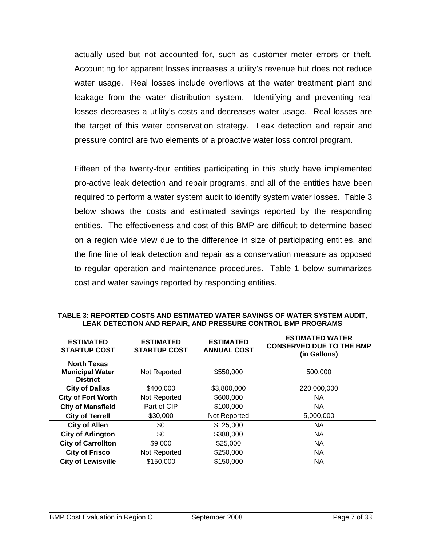actually used but not accounted for, such as customer meter errors or theft. Accounting for apparent losses increases a utility's revenue but does not reduce water usage. Real losses include overflows at the water treatment plant and leakage from the water distribution system. Identifying and preventing real losses decreases a utility's costs and decreases water usage. Real losses are the target of this water conservation strategy. Leak detection and repair and pressure control are two elements of a proactive water loss control program.

Fifteen of the twenty-four entities participating in this study have implemented pro-active leak detection and repair programs, and all of the entities have been required to perform a water system audit to identify system water losses. Table 3 below shows the costs and estimated savings reported by the responding entities. The effectiveness and cost of this BMP are difficult to determine based on a region wide view due to the difference in size of participating entities, and the fine line of leak detection and repair as a conservation measure as opposed to regular operation and maintenance procedures. Table 1 below summarizes cost and water savings reported by responding entities.

| TABLE 3: REPORTED COSTS AND ESTIMATED WATER SAVINGS OF WATER SYSTEM AUDIT, |
|----------------------------------------------------------------------------|
| LEAK DETECTION AND REPAIR, AND PRESSURE CONTROL BMP PROGRAMS               |

| <b>ESTIMATED</b><br><b>STARTUP COST</b>                                         | <b>ESTIMATED</b><br><b>STARTUP COST</b> | <b>ESTIMATED</b><br><b>ANNUAL COST</b> | <b>ESTIMATED WATER</b><br><b>CONSERVED DUE TO THE BMP</b><br>(in Gallons) |  |  |  |  |  |
|---------------------------------------------------------------------------------|-----------------------------------------|----------------------------------------|---------------------------------------------------------------------------|--|--|--|--|--|
| <b>North Texas</b><br><b>Municipal Water</b><br>Not Reported<br><b>District</b> |                                         | \$550,000                              | 500,000                                                                   |  |  |  |  |  |
| <b>City of Dallas</b>                                                           | \$400,000                               | \$3,800,000                            | 220,000,000                                                               |  |  |  |  |  |
| <b>City of Fort Worth</b><br>Not Reported                                       |                                         | \$600,000                              | <b>NA</b>                                                                 |  |  |  |  |  |
| <b>City of Mansfield</b><br>Part of CIP                                         |                                         | \$100,000                              | <b>NA</b>                                                                 |  |  |  |  |  |
| <b>City of Terrell</b><br>\$30,000                                              |                                         | Not Reported                           | 5,000,000                                                                 |  |  |  |  |  |
| <b>City of Allen</b><br>\$0                                                     |                                         | \$125,000                              | <b>NA</b>                                                                 |  |  |  |  |  |
| \$0<br><b>City of Arlington</b>                                                 |                                         | \$388,000                              | <b>NA</b>                                                                 |  |  |  |  |  |
| <b>City of Carrollton</b><br>\$9,000                                            |                                         | \$25,000                               | <b>NA</b>                                                                 |  |  |  |  |  |
| <b>City of Frisco</b>                                                           | Not Reported                            | \$250,000                              | <b>NA</b>                                                                 |  |  |  |  |  |
| <b>City of Lewisville</b>                                                       | \$150,000                               | \$150,000                              | <b>NA</b>                                                                 |  |  |  |  |  |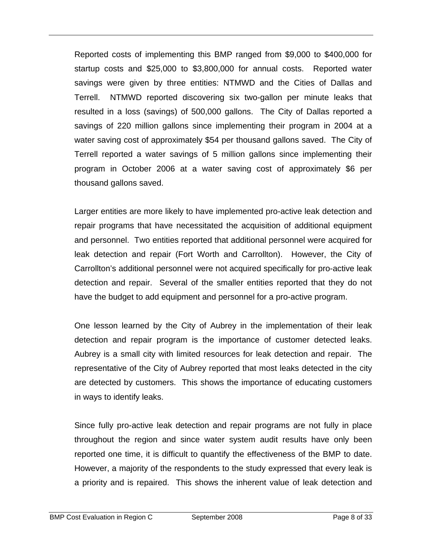Reported costs of implementing this BMP ranged from \$9,000 to \$400,000 for startup costs and \$25,000 to \$3,800,000 for annual costs. Reported water savings were given by three entities: NTMWD and the Cities of Dallas and Terrell. NTMWD reported discovering six two-gallon per minute leaks that resulted in a loss (savings) of 500,000 gallons. The City of Dallas reported a savings of 220 million gallons since implementing their program in 2004 at a water saving cost of approximately \$54 per thousand gallons saved. The City of Terrell reported a water savings of 5 million gallons since implementing their program in October 2006 at a water saving cost of approximately \$6 per thousand gallons saved.

Larger entities are more likely to have implemented pro-active leak detection and repair programs that have necessitated the acquisition of additional equipment and personnel. Two entities reported that additional personnel were acquired for leak detection and repair (Fort Worth and Carrollton). However, the City of Carrollton's additional personnel were not acquired specifically for pro-active leak detection and repair. Several of the smaller entities reported that they do not have the budget to add equipment and personnel for a pro-active program.

One lesson learned by the City of Aubrey in the implementation of their leak detection and repair program is the importance of customer detected leaks. Aubrey is a small city with limited resources for leak detection and repair. The representative of the City of Aubrey reported that most leaks detected in the city are detected by customers. This shows the importance of educating customers in ways to identify leaks.

Since fully pro-active leak detection and repair programs are not fully in place throughout the region and since water system audit results have only been reported one time, it is difficult to quantify the effectiveness of the BMP to date. However, a majority of the respondents to the study expressed that every leak is a priority and is repaired. This shows the inherent value of leak detection and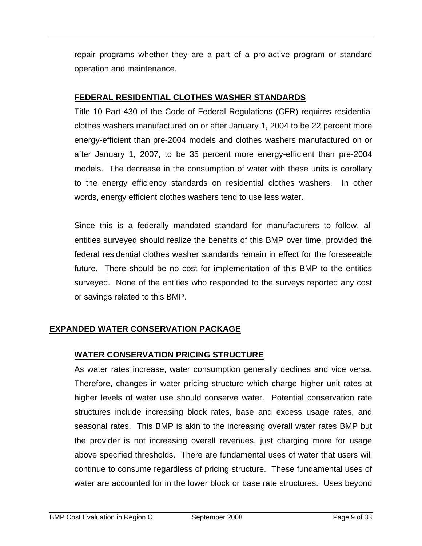repair programs whether they are a part of a pro-active program or standard operation and maintenance.

#### **FEDERAL RESIDENTIAL CLOTHES WASHER STANDARDS**

Title 10 Part 430 of the Code of Federal Regulations (CFR) requires residential clothes washers manufactured on or after January 1, 2004 to be 22 percent more energy-efficient than pre-2004 models and clothes washers manufactured on or after January 1, 2007, to be 35 percent more energy-efficient than pre-2004 models. The decrease in the consumption of water with these units is corollary to the energy efficiency standards on residential clothes washers. In other words, energy efficient clothes washers tend to use less water.

Since this is a federally mandated standard for manufacturers to follow, all entities surveyed should realize the benefits of this BMP over time, provided the federal residential clothes washer standards remain in effect for the foreseeable future. There should be no cost for implementation of this BMP to the entities surveyed. None of the entities who responded to the surveys reported any cost or savings related to this BMP.

## **EXPANDED WATER CONSERVATION PACKAGE**

# **WATER CONSERVATION PRICING STRUCTURE**

As water rates increase, water consumption generally declines and vice versa. Therefore, changes in water pricing structure which charge higher unit rates at higher levels of water use should conserve water. Potential conservation rate structures include increasing block rates, base and excess usage rates, and seasonal rates. This BMP is akin to the increasing overall water rates BMP but the provider is not increasing overall revenues, just charging more for usage above specified thresholds. There are fundamental uses of water that users will continue to consume regardless of pricing structure. These fundamental uses of water are accounted for in the lower block or base rate structures. Uses beyond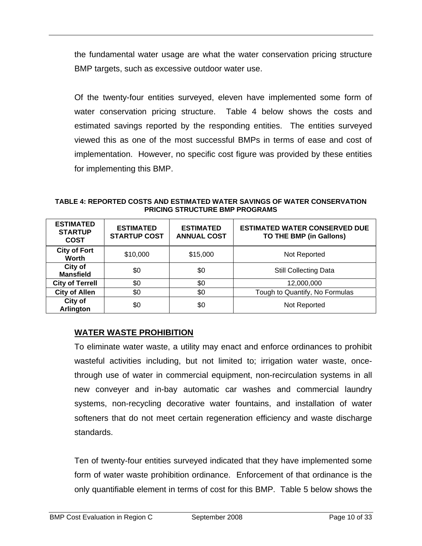the fundamental water usage are what the water conservation pricing structure BMP targets, such as excessive outdoor water use.

Of the twenty-four entities surveyed, eleven have implemented some form of water conservation pricing structure. Table 4 below shows the costs and estimated savings reported by the responding entities. The entities surveyed viewed this as one of the most successful BMPs in terms of ease and cost of implementation. However, no specific cost figure was provided by these entities for implementing this BMP.

**TABLE 4: REPORTED COSTS AND ESTIMATED WATER SAVINGS OF WATER CONSERVATION PRICING STRUCTURE BMP PROGRAMS** 

| <b>ESTIMATED</b><br><b>STARTUP</b><br><b>COST</b> | <b>ESTIMATED</b><br><b>STARTUP COST</b> | <b>ESTIMATED WATER CONSERVED DUE</b><br><b>ESTIMATED</b><br><b>ANNUAL COST</b><br>TO THE BMP (in Gallons) |                                |  |  |  |  |  |  |
|---------------------------------------------------|-----------------------------------------|-----------------------------------------------------------------------------------------------------------|--------------------------------|--|--|--|--|--|--|
| <b>City of Fort</b><br>Worth                      | \$10,000                                | \$15,000                                                                                                  | Not Reported                   |  |  |  |  |  |  |
| City of<br><b>Mansfield</b>                       | \$0                                     | \$0                                                                                                       | <b>Still Collecting Data</b>   |  |  |  |  |  |  |
| <b>City of Terrell</b>                            | \$0                                     | \$0                                                                                                       | 12,000,000                     |  |  |  |  |  |  |
| <b>City of Allen</b>                              | \$0                                     | \$0                                                                                                       | Tough to Quantify, No Formulas |  |  |  |  |  |  |
| <b>City of</b><br><b>Arlington</b>                | \$0                                     | \$0                                                                                                       | Not Reported                   |  |  |  |  |  |  |

## **WATER WASTE PROHIBITION**

To eliminate water waste, a utility may enact and enforce ordinances to prohibit wasteful activities including, but not limited to; irrigation water waste, oncethrough use of water in commercial equipment, non-recirculation systems in all new conveyer and in-bay automatic car washes and commercial laundry systems, non-recycling decorative water fountains, and installation of water softeners that do not meet certain regeneration efficiency and waste discharge standards.

Ten of twenty-four entities surveyed indicated that they have implemented some form of water waste prohibition ordinance. Enforcement of that ordinance is the only quantifiable element in terms of cost for this BMP. Table 5 below shows the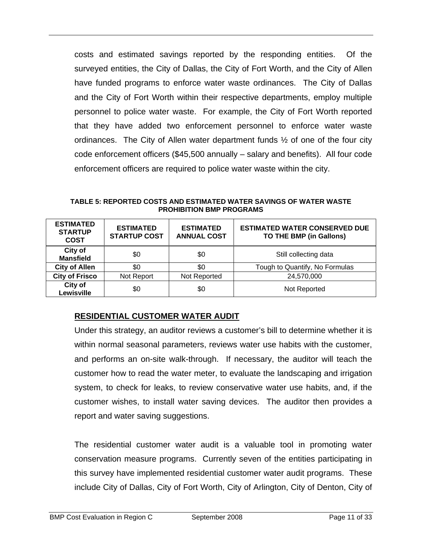costs and estimated savings reported by the responding entities. Of the surveyed entities, the City of Dallas, the City of Fort Worth, and the City of Allen have funded programs to enforce water waste ordinances. The City of Dallas and the City of Fort Worth within their respective departments, employ multiple personnel to police water waste. For example, the City of Fort Worth reported that they have added two enforcement personnel to enforce water waste ordinances. The City of Allen water department funds ½ of one of the four city code enforcement officers (\$45,500 annually – salary and benefits). All four code enforcement officers are required to police water waste within the city.

**TABLE 5: REPORTED COSTS AND ESTIMATED WATER SAVINGS OF WATER WASTE PROHIBITION BMP PROGRAMS** 

| <b>ESTIMATED</b><br><b>STARTUP</b><br><b>COST</b> | <b>ESTIMATED</b><br><b>STARTUP COST</b> | <b>ESTIMATED</b><br><b>ANNUAL COST</b> | <b>ESTIMATED WATER CONSERVED DUE</b><br>TO THE BMP (in Gallons) |
|---------------------------------------------------|-----------------------------------------|----------------------------------------|-----------------------------------------------------------------|
| City of<br><b>Mansfield</b>                       | \$0                                     | \$0                                    | Still collecting data                                           |
| <b>City of Allen</b>                              | \$0                                     | \$0                                    | Tough to Quantify, No Formulas                                  |
| <b>City of Frisco</b>                             | Not Report                              | Not Reported                           | 24,570,000                                                      |
| City of<br>Lewisville                             | \$0                                     | \$0                                    | Not Reported                                                    |

#### **RESIDENTIAL CUSTOMER WATER AUDIT**

Under this strategy, an auditor reviews a customer's bill to determine whether it is within normal seasonal parameters, reviews water use habits with the customer, and performs an on-site walk-through. If necessary, the auditor will teach the customer how to read the water meter, to evaluate the landscaping and irrigation system, to check for leaks, to review conservative water use habits, and, if the customer wishes, to install water saving devices. The auditor then provides a report and water saving suggestions.

The residential customer water audit is a valuable tool in promoting water conservation measure programs. Currently seven of the entities participating in this survey have implemented residential customer water audit programs. These include City of Dallas, City of Fort Worth, City of Arlington, City of Denton, City of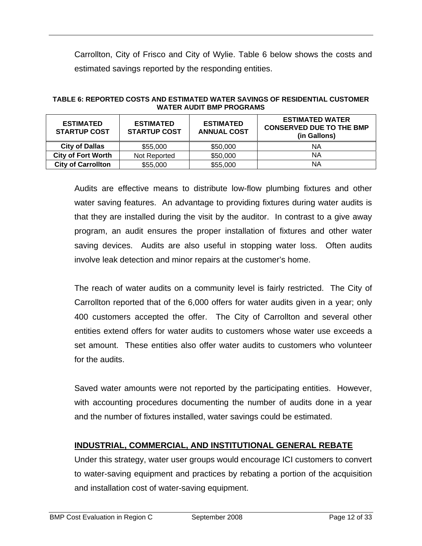Carrollton, City of Frisco and City of Wylie. Table 6 below shows the costs and estimated savings reported by the responding entities.

| <b>ESTIMATED</b><br><b>ESTIMATED</b><br><b>STARTUP COST</b><br><b>STARTUP COST</b> |              | <b>ESTIMATED</b><br><b>ANNUAL COST</b> | <b>ESTIMATED WATER</b><br><b>CONSERVED DUE TO THE BMP</b><br>(in Gallons) |
|------------------------------------------------------------------------------------|--------------|----------------------------------------|---------------------------------------------------------------------------|
| <b>City of Dallas</b>                                                              | \$55,000     | \$50,000                               | ΝA                                                                        |
| <b>City of Fort Worth</b>                                                          | Not Reported | \$50,000                               | ΝA                                                                        |
| <b>City of Carrollton</b>                                                          | \$55,000     | \$55,000                               | ΝA                                                                        |

#### **TABLE 6: REPORTED COSTS AND ESTIMATED WATER SAVINGS OF RESIDENTIAL CUSTOMER WATER AUDIT BMP PROGRAMS**

Audits are effective means to distribute low-flow plumbing fixtures and other water saving features. An advantage to providing fixtures during water audits is that they are installed during the visit by the auditor. In contrast to a give away program, an audit ensures the proper installation of fixtures and other water saving devices. Audits are also useful in stopping water loss. Often audits involve leak detection and minor repairs at the customer's home.

The reach of water audits on a community level is fairly restricted. The City of Carrollton reported that of the 6,000 offers for water audits given in a year; only 400 customers accepted the offer. The City of Carrollton and several other entities extend offers for water audits to customers whose water use exceeds a set amount. These entities also offer water audits to customers who volunteer for the audits.

Saved water amounts were not reported by the participating entities. However, with accounting procedures documenting the number of audits done in a year and the number of fixtures installed, water savings could be estimated.

## **INDUSTRIAL, COMMERCIAL, AND INSTITUTIONAL GENERAL REBATE**

Under this strategy, water user groups would encourage ICI customers to convert to water-saving equipment and practices by rebating a portion of the acquisition and installation cost of water-saving equipment.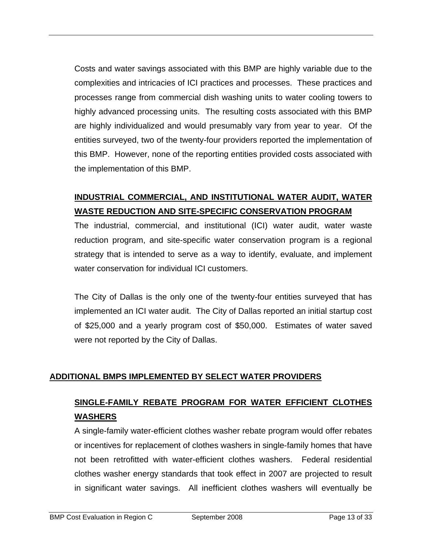Costs and water savings associated with this BMP are highly variable due to the complexities and intricacies of ICI practices and processes. These practices and processes range from commercial dish washing units to water cooling towers to highly advanced processing units. The resulting costs associated with this BMP are highly individualized and would presumably vary from year to year. Of the entities surveyed, two of the twenty-four providers reported the implementation of this BMP. However, none of the reporting entities provided costs associated with the implementation of this BMP.

# **INDUSTRIAL COMMERCIAL, AND INSTITUTIONAL WATER AUDIT, WATER WASTE REDUCTION AND SITE-SPECIFIC CONSERVATION PROGRAM**

The industrial, commercial, and institutional (ICI) water audit, water waste reduction program, and site-specific water conservation program is a regional strategy that is intended to serve as a way to identify, evaluate, and implement water conservation for individual ICI customers.

The City of Dallas is the only one of the twenty-four entities surveyed that has implemented an ICI water audit. The City of Dallas reported an initial startup cost of \$25,000 and a yearly program cost of \$50,000. Estimates of water saved were not reported by the City of Dallas.

## **ADDITIONAL BMPS IMPLEMENTED BY SELECT WATER PROVIDERS**

# **SINGLE-FAMILY REBATE PROGRAM FOR WATER EFFICIENT CLOTHES WASHERS**

A single-family water-efficient clothes washer rebate program would offer rebates or incentives for replacement of clothes washers in single-family homes that have not been retrofitted with water-efficient clothes washers. Federal residential clothes washer energy standards that took effect in 2007 are projected to result in significant water savings. All inefficient clothes washers will eventually be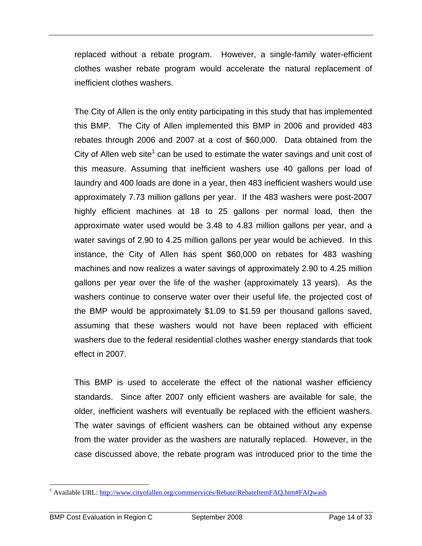replaced without a rebate program. However, a single-family water-efficient clothes washer rebate program would accelerate the natural replacement of inefficient clothes washers.

The City of Allen is the only entity participating in this study that has implemented this BMP. The City of Allen implemented this BMP in 2006 and provided 483 rebates through 2006 and 2007 at a cost of \$60,000. Data obtained from the City of Allen web site<sup>1</sup> can be used to estimate the water savings and unit cost of this measure. Assuming that inefficient washers use 40 gallons per load of laundry and 400 loads are done in a year, then 483 inefficient washers would use approximately 7.73 million gallons per year. If the 483 washers were post-2007 highly efficient machines at 18 to 25 gallons per normal load, then the approximate water used would be 3.48 to 4.83 million gallons per year, and a water savings of 2.90 to 4.25 million gallons per year would be achieved. In this instance, the City of Allen has spent \$60,000 on rebates for 483 washing machines and now realizes a water savings of approximately 2.90 to 4.25 million gallons per year over the life of the washer (approximately 13 years). As the washers continue to conserve water over their useful life, the projected cost of the BMP would be approximately \$1.09 to \$1.59 per thousand gallons saved, assuming that these washers would not have been replaced with efficient washers due to the federal residential clothes washer energy standards that took effect in 2007.

This BMP is used to accelerate the effect of the national washer efficiency standards. Since after 2007 only efficient washers are available for sale, the older, inefficient washers will eventually be replaced with the efficient washers. The water savings of efficient washers can be obtained without any expense from the water provider as the washers are naturally replaced. However, in the case discussed above, the rebate program was introduced prior to the time the

 $\overline{a}$ 

<sup>&</sup>lt;sup>1</sup> Available URL: http://www.cityofallen.org/commservices/Rebate/RebateItemFAQ.htm#FAQwash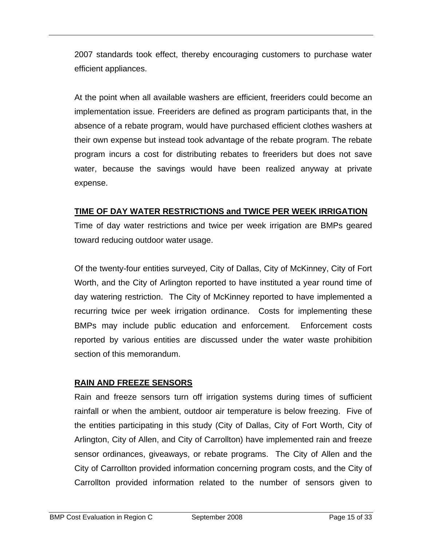2007 standards took effect, thereby encouraging customers to purchase water efficient appliances.

At the point when all available washers are efficient, freeriders could become an implementation issue. Freeriders are defined as program participants that, in the absence of a rebate program, would have purchased efficient clothes washers at their own expense but instead took advantage of the rebate program. The rebate program incurs a cost for distributing rebates to freeriders but does not save water, because the savings would have been realized anyway at private expense.

#### **TIME OF DAY WATER RESTRICTIONS and TWICE PER WEEK IRRIGATION**

Time of day water restrictions and twice per week irrigation are BMPs geared toward reducing outdoor water usage.

Of the twenty-four entities surveyed, City of Dallas, City of McKinney, City of Fort Worth, and the City of Arlington reported to have instituted a year round time of day watering restriction. The City of McKinney reported to have implemented a recurring twice per week irrigation ordinance. Costs for implementing these BMPs may include public education and enforcement. Enforcement costs reported by various entities are discussed under the water waste prohibition section of this memorandum.

## **RAIN AND FREEZE SENSORS**

Rain and freeze sensors turn off irrigation systems during times of sufficient rainfall or when the ambient, outdoor air temperature is below freezing. Five of the entities participating in this study (City of Dallas, City of Fort Worth, City of Arlington, City of Allen, and City of Carrollton) have implemented rain and freeze sensor ordinances, giveaways, or rebate programs. The City of Allen and the City of Carrollton provided information concerning program costs, and the City of Carrollton provided information related to the number of sensors given to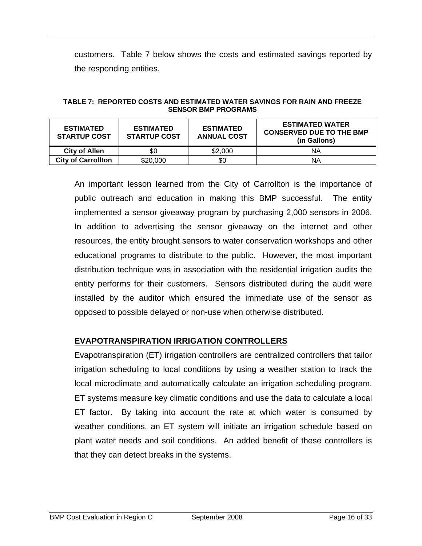customers. Table 7 below shows the costs and estimated savings reported by the responding entities.

| TABLE 7: REPORTED COSTS AND ESTIMATED WATER SAVINGS FOR RAIN AND FREEZE |
|-------------------------------------------------------------------------|
| <b>SENSOR BMP PROGRAMS</b>                                              |

| <b>ESTIMATED</b><br><b>STARTUP COST</b> | <b>ESTIMATED</b><br><b>STARTUP COST</b> | <b>ESTIMATED</b><br><b>ANNUAL COST</b> | <b>ESTIMATED WATER</b><br><b>CONSERVED DUE TO THE BMP</b><br>(in Gallons) |
|-----------------------------------------|-----------------------------------------|----------------------------------------|---------------------------------------------------------------------------|
| <b>City of Allen</b>                    | \$0                                     | \$2,000                                | ΝA                                                                        |
| <b>City of Carrollton</b>               | \$20,000                                | \$0                                    | ΝA                                                                        |

An important lesson learned from the City of Carrollton is the importance of public outreach and education in making this BMP successful. The entity implemented a sensor giveaway program by purchasing 2,000 sensors in 2006. In addition to advertising the sensor giveaway on the internet and other resources, the entity brought sensors to water conservation workshops and other educational programs to distribute to the public. However, the most important distribution technique was in association with the residential irrigation audits the entity performs for their customers. Sensors distributed during the audit were installed by the auditor which ensured the immediate use of the sensor as opposed to possible delayed or non-use when otherwise distributed.

#### **EVAPOTRANSPIRATION IRRIGATION CONTROLLERS**

Evapotranspiration (ET) irrigation controllers are centralized controllers that tailor irrigation scheduling to local conditions by using a weather station to track the local microclimate and automatically calculate an irrigation scheduling program. ET systems measure key climatic conditions and use the data to calculate a local ET factor. By taking into account the rate at which water is consumed by weather conditions, an ET system will initiate an irrigation schedule based on plant water needs and soil conditions. An added benefit of these controllers is that they can detect breaks in the systems.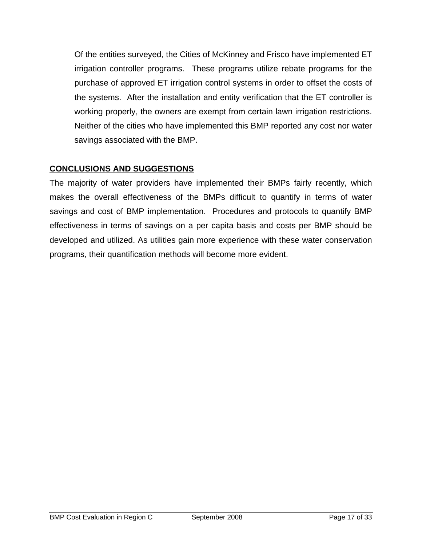Of the entities surveyed, the Cities of McKinney and Frisco have implemented ET irrigation controller programs. These programs utilize rebate programs for the purchase of approved ET irrigation control systems in order to offset the costs of the systems. After the installation and entity verification that the ET controller is working properly, the owners are exempt from certain lawn irrigation restrictions. Neither of the cities who have implemented this BMP reported any cost nor water savings associated with the BMP.

# **CONCLUSIONS AND SUGGESTIONS**

The majority of water providers have implemented their BMPs fairly recently, which makes the overall effectiveness of the BMPs difficult to quantify in terms of water savings and cost of BMP implementation. Procedures and protocols to quantify BMP effectiveness in terms of savings on a per capita basis and costs per BMP should be developed and utilized. As utilities gain more experience with these water conservation programs, their quantification methods will become more evident.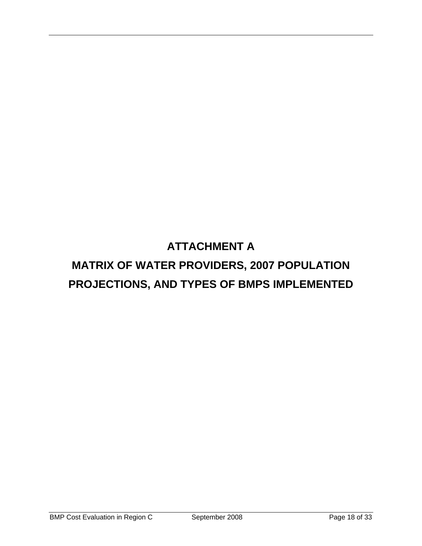# **ATTACHMENT A MATRIX OF WATER PROVIDERS, 2007 POPULATION PROJECTIONS, AND TYPES OF BMPS IMPLEMENTED**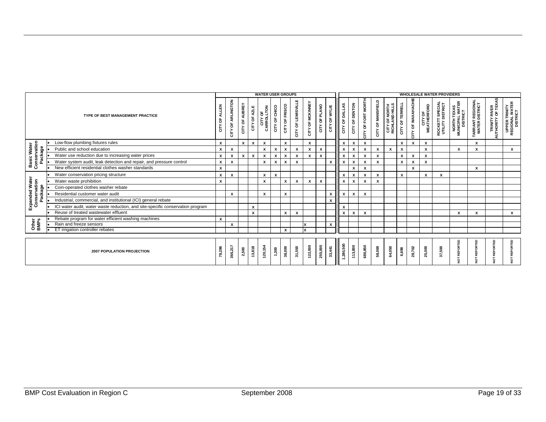|                                               |                                                                                | <b>WATER USER GROUPS</b>        |                             |                |              |                       |               |                |                    |                  |               |               | <b>WHOLESALE WATER PROVIDERS</b> |                           |                    |                   |                                 |                 |                           |                                |                                            |                                            |                                   |                                             |                                             |
|-----------------------------------------------|--------------------------------------------------------------------------------|---------------------------------|-----------------------------|----------------|--------------|-----------------------|---------------|----------------|--------------------|------------------|---------------|---------------|----------------------------------|---------------------------|--------------------|-------------------|---------------------------------|-----------------|---------------------------|--------------------------------|--------------------------------------------|--------------------------------------------|-----------------------------------|---------------------------------------------|---------------------------------------------|
| TYPE OF BEST MANAGEMENT PRACTICE              |                                                                                | <b>ALLEN</b><br>$\rm ^{+}$<br>등 | OF ARLINGTON<br><b>CITY</b> | CITY OF AUBREY | CITY OF AZLE | CITY OF<br>CARROLLTON | CITY OF CHICO | CITY OF FRISCO | CITY OF LEWISVILLE | CITY OF MCKINNEY | CITY OF PLANO | CITY OF WYLIE | CITY OF DALLAS                   | CITY OF DENTON            | CITY OF FORT WORTH | CITY OF MANSFIELD | CITY OF NORTH<br>RICHLAND HILLS | CITY OF TERRELL | CITY OF WAXAHACHIE        | <b>CITY OF<br/>WEATHERFORD</b> | <b>ROCKETT SPECIAL</b><br>UTILITY DISTRICT | NORTH TEXAS<br>MUNICIPAL WATER<br>DISTRICT | ARRANT REGIONAI<br>WATER DISTRICT | <b>TRINITY RIVER<br/>AUTHORITY OF TEXAS</b> | UPPER TRINITY<br>REGIONAL WATER<br>DISTRICT |
|                                               | Low-flow plumbing fixtures rules                                               | X                               |                             | $\mathbf{x}$   | $\mathbf{x}$ | x                     |               | $\mathbf{x}$   |                    | x                |               |               | X                                | $\boldsymbol{x}$          | x                  |                   |                                 | X               | $\boldsymbol{\mathsf{x}}$ | X                              |                                            |                                            | x                                 |                                             |                                             |
|                                               | Public and school education                                                    | X                               | X                           |                |              | x                     | x             | $\mathbf{x}$   | x                  | x                | X             |               | x                                | $\mathbf x$               | x                  | $\pmb{\chi}$      | х                               | X               |                           | $\pmb{\chi}$                   |                                            |                                            | x                                 |                                             | x                                           |
| <b>Basic Water</b><br>Conservation<br>Package | Water use reduction due to increasing water prices                             | X                               | $\pmb{\chi}$                | $\mathbf{x}$   | $\pmb{\chi}$ | x                     | x             | $\mathbf{x}$   | x                  | x                | X             |               | X                                | $\boldsymbol{x}$          | $\pmb{\chi}$       | X                 |                                 | X               | $\boldsymbol{\mathsf{x}}$ | $\mathbf{x}$                   |                                            |                                            |                                   |                                             |                                             |
|                                               | Water system audit, leak detection and repair, and pressure control            | X                               | $\boldsymbol{x}$            |                |              | $\mathsf{x}$          | x             | $\mathbf{x}$   | $\mathsf{x}$       |                  |               | X             | x                                | $\boldsymbol{x}$          | X                  | X                 |                                 | X               | $\boldsymbol{\mathsf{x}}$ | $\mathbf{x}$                   |                                            |                                            |                                   |                                             |                                             |
|                                               | New efficient residential clothes washer standards                             | x                               |                             |                |              |                       |               |                |                    |                  |               |               |                                  | x                         | X                  |                   |                                 |                 | x                         |                                |                                            |                                            | x                                 |                                             |                                             |
|                                               | Water conservation pricing structure                                           | X                               | $\boldsymbol{x}$            |                |              | х                     | x             |                |                    |                  |               |               | x                                | $\boldsymbol{\mathsf{x}}$ | X                  | $\pmb{\chi}$      |                                 | X               |                           | $\mathbf{x}$                   | $\boldsymbol{\mathsf{x}}$                  |                                            |                                   |                                             |                                             |
| Expanded Water<br>Conservation                | Water waste prohibition                                                        | x                               |                             |                |              | x                     |               | x              | X                  | X                | X             |               | X                                | X                         | x                  | X                 |                                 |                 |                           |                                |                                            |                                            |                                   |                                             |                                             |
|                                               | Coin-operated clothes washer rebate                                            |                                 |                             |                |              |                       |               |                |                    |                  |               |               |                                  |                           |                    |                   |                                 |                 |                           |                                |                                            |                                            |                                   |                                             |                                             |
| Package                                       | Residential customer water audit                                               |                                 | X                           |                |              | x                     |               | x              |                    |                  |               | x             | X                                | x                         | X                  |                   |                                 |                 |                           |                                |                                            |                                            |                                   |                                             |                                             |
|                                               | Industrial, commercial, and institutional (ICI) general rebate                 |                                 |                             |                |              |                       |               |                |                    |                  |               | X             |                                  |                           |                    |                   |                                 |                 |                           |                                |                                            |                                            |                                   |                                             |                                             |
|                                               | ICI water audit, water waste reduction, and site-specific conservation program |                                 |                             |                | X            |                       |               |                |                    |                  |               |               | X                                |                           |                    |                   |                                 |                 |                           |                                |                                            |                                            |                                   |                                             |                                             |
|                                               | Reuse of treated wastewater effluent                                           |                                 |                             |                | X            |                       |               | x              | х                  |                  |               |               | X                                | X                         | x                  |                   |                                 |                 |                           |                                |                                            | X                                          | x                                 |                                             | x                                           |
|                                               | Rebate program for water efficient washing machines                            | X                               |                             |                |              |                       |               |                |                    |                  |               |               |                                  |                           |                    |                   |                                 |                 |                           |                                |                                            |                                            |                                   |                                             |                                             |
| Other<br>BMPs                                 | Rain and freeze sensors                                                        |                                 | x                           |                |              |                       |               |                |                    |                  |               | х             |                                  |                           |                    |                   |                                 |                 |                           |                                |                                            |                                            |                                   |                                             |                                             |
|                                               | ET irrigation controller rebates                                               |                                 |                             |                |              |                       |               | $\mathsf{x}$   |                    |                  |               |               |                                  |                           |                    |                   |                                 |                 |                           |                                |                                            |                                            |                                   |                                             |                                             |
|                                               |                                                                                |                                 |                             |                |              |                       |               |                |                    |                  |               |               |                                  |                           |                    |                   |                                 |                 |                           |                                |                                            |                                            |                                   |                                             |                                             |
| 2007 POPULATION PROJECTION                    |                                                                                | 78,286                          | 366,217                     | 2,500          | 13,818       | 120,154               | 1,300         | 38,000         | 31,550             | 122,000          | 255,000       | 33,441        | 1,280,500                        | 113,800                   | 686,850            | 58,069            | 64,050                          | 6,698           | 28,702                    | 25,000                         | 37,500                                     |                                            | REPORTED<br>NOT                   | ۵<br>REPORT<br>5                            | REPORTED<br>5                               |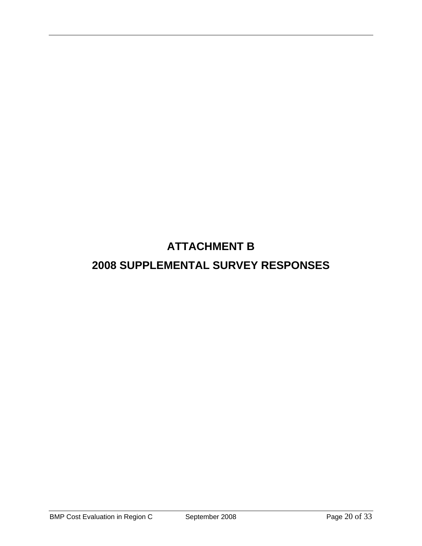# **ATTACHMENT B**

# **2008 SUPPLEMENTAL SURVEY RESPONSES**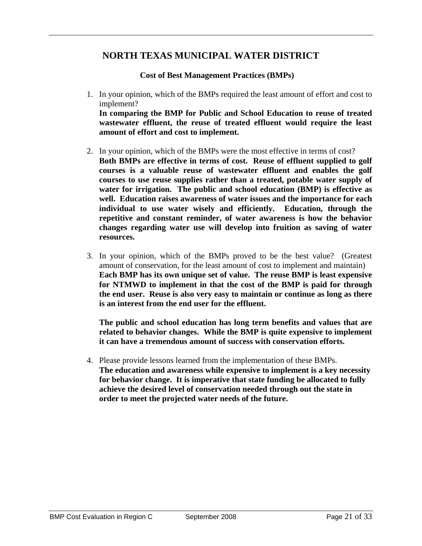## **NORTH TEXAS MUNICIPAL WATER DISTRICT**

**Cost of Best Management Practices (BMPs)** 

1. In your opinion, which of the BMPs required the least amount of effort and cost to implement?

**In comparing the BMP for Public and School Education to reuse of treated wastewater effluent, the reuse of treated effluent would require the least amount of effort and cost to implement.** 

- 2. In your opinion, which of the BMPs were the most effective in terms of cost? **Both BMPs are effective in terms of cost. Reuse of effluent supplied to golf courses is a valuable reuse of wastewater effluent and enables the golf courses to use reuse supplies rather than a treated, potable water supply of water for irrigation. The public and school education (BMP) is effective as well. Education raises awareness of water issues and the importance for each individual to use water wisely and efficiently. Education, through the repetitive and constant reminder, of water awareness is how the behavior changes regarding water use will develop into fruition as saving of water resources.**
- 3. In your opinion, which of the BMPs proved to be the best value? (Greatest amount of conservation, for the least amount of cost to implement and maintain) **Each BMP has its own unique set of value. The reuse BMP is least expensive for NTMWD to implement in that the cost of the BMP is paid for through the end user. Reuse is also very easy to maintain or continue as long as there is an interest from the end user for the effluent.**

**The public and school education has long term benefits and values that are related to behavior changes. While the BMP is quite expensive to implement it can have a tremendous amount of success with conservation efforts.** 

4. Please provide lessons learned from the implementation of these BMPs. **The education and awareness while expensive to implement is a key necessity for behavior change. It is imperative that state funding be allocated to fully achieve the desired level of conservation needed through out the state in order to meet the projected water needs of the future.**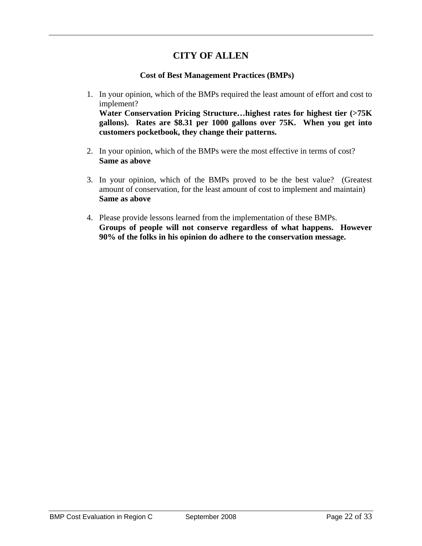# **CITY OF ALLEN**

#### **Cost of Best Management Practices (BMPs)**

1. In your opinion, which of the BMPs required the least amount of effort and cost to implement?

**Water Conservation Pricing Structure…highest rates for highest tier (>75K gallons). Rates are \$8.31 per 1000 gallons over 75K. When you get into customers pocketbook, they change their patterns.**

- 2. In your opinion, which of the BMPs were the most effective in terms of cost? **Same as above**
- 3. In your opinion, which of the BMPs proved to be the best value? (Greatest amount of conservation, for the least amount of cost to implement and maintain) **Same as above**
- 4. Please provide lessons learned from the implementation of these BMPs. **Groups of people will not conserve regardless of what happens. However 90% of the folks in his opinion do adhere to the conservation message.**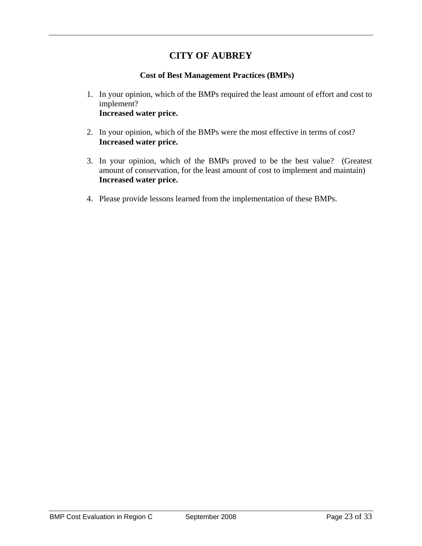# **CITY OF AUBREY**

#### **Cost of Best Management Practices (BMPs)**

- 1. In your opinion, which of the BMPs required the least amount of effort and cost to implement? **Increased water price.**
- 2. In your opinion, which of the BMPs were the most effective in terms of cost? **Increased water price.**
- 3. In your opinion, which of the BMPs proved to be the best value? (Greatest amount of conservation, for the least amount of cost to implement and maintain) **Increased water price.**
- 4. Please provide lessons learned from the implementation of these BMPs.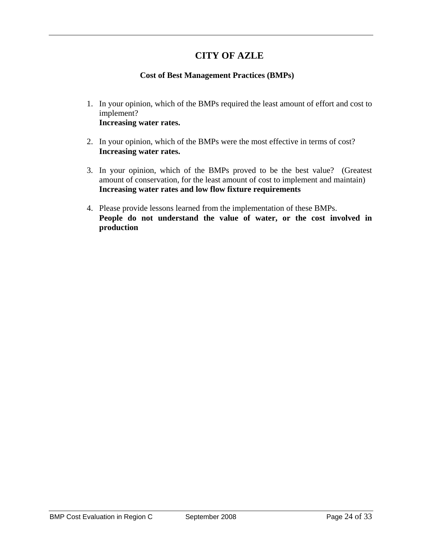# **CITY OF AZLE**

#### **Cost of Best Management Practices (BMPs)**

- 1. In your opinion, which of the BMPs required the least amount of effort and cost to implement? **Increasing water rates.**
- 2. In your opinion, which of the BMPs were the most effective in terms of cost? **Increasing water rates.**
- 3. In your opinion, which of the BMPs proved to be the best value? (Greatest amount of conservation, for the least amount of cost to implement and maintain) **Increasing water rates and low flow fixture requirements**
- 4. Please provide lessons learned from the implementation of these BMPs. **People do not understand the value of water, or the cost involved in production**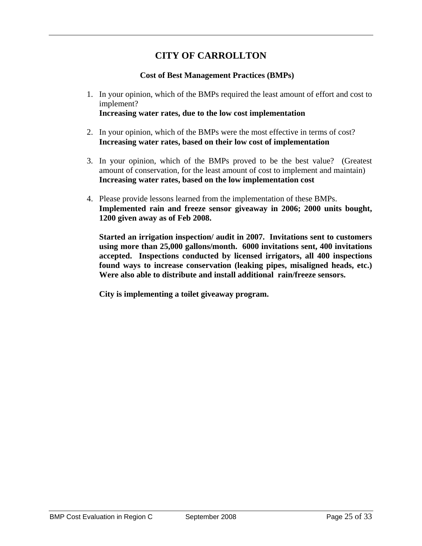# **CITY OF CARROLLTON**

#### **Cost of Best Management Practices (BMPs)**

- 1. In your opinion, which of the BMPs required the least amount of effort and cost to implement? **Increasing water rates, due to the low cost implementation**
- 2. In your opinion, which of the BMPs were the most effective in terms of cost? **Increasing water rates, based on their low cost of implementation**
- 3. In your opinion, which of the BMPs proved to be the best value? (Greatest amount of conservation, for the least amount of cost to implement and maintain) **Increasing water rates, based on the low implementation cost**
- 4. Please provide lessons learned from the implementation of these BMPs. **Implemented rain and freeze sensor giveaway in 2006; 2000 units bought, 1200 given away as of Feb 2008.**

**Started an irrigation inspection/ audit in 2007. Invitations sent to customers using more than 25,000 gallons/month. 6000 invitations sent, 400 invitations accepted. Inspections conducted by licensed irrigators, all 400 inspections found ways to increase conservation (leaking pipes, misaligned heads, etc.) Were also able to distribute and install additional rain/freeze sensors.** 

**City is implementing a toilet giveaway program.**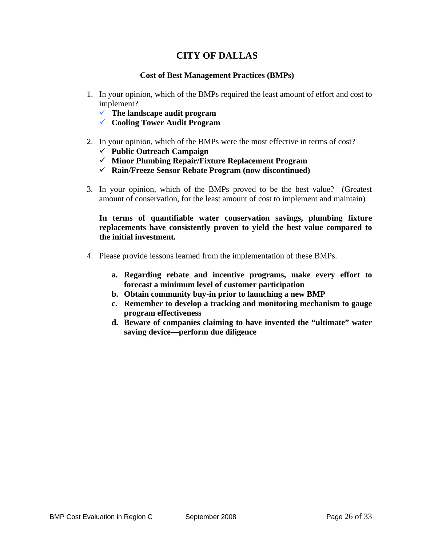# **CITY OF DALLAS**

#### **Cost of Best Management Practices (BMPs)**

- 1. In your opinion, which of the BMPs required the least amount of effort and cost to implement?
	- $\checkmark$  The landscape audit program
	- 9 **Cooling Tower Audit Program**
- 2. In your opinion, which of the BMPs were the most effective in terms of cost?
	- 9 **Public Outreach Campaign**
	- 9 **Minor Plumbing Repair/Fixture Replacement Program**
	- 9 **Rain/Freeze Sensor Rebate Program (now discontinued)**
- 3. In your opinion, which of the BMPs proved to be the best value? (Greatest amount of conservation, for the least amount of cost to implement and maintain)

**In terms of quantifiable water conservation savings, plumbing fixture replacements have consistently proven to yield the best value compared to the initial investment.**

- 4. Please provide lessons learned from the implementation of these BMPs.
	- **a. Regarding rebate and incentive programs, make every effort to forecast a minimum level of customer participation**
	- **b. Obtain community buy-in prior to launching a new BMP**
	- **c. Remember to develop a tracking and monitoring mechanism to gauge program effectiveness**
	- **d. Beware of companies claiming to have invented the "ultimate" water saving device—perform due diligence**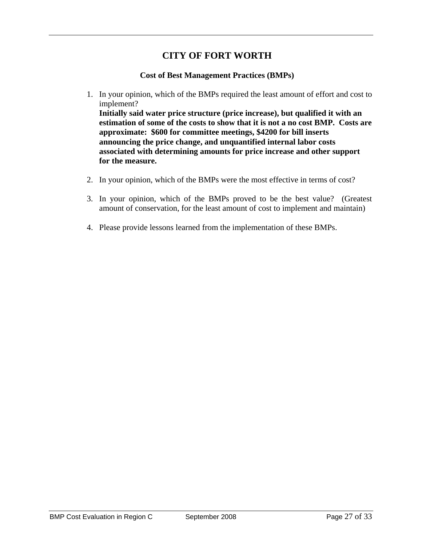# **CITY OF FORT WORTH**

#### **Cost of Best Management Practices (BMPs)**

- 1. In your opinion, which of the BMPs required the least amount of effort and cost to implement? **Initially said water price structure (price increase), but qualified it with an estimation of some of the costs to show that it is not a no cost BMP. Costs are approximate: \$600 for committee meetings, \$4200 for bill inserts announcing the price change, and unquantified internal labor costs associated with determining amounts for price increase and other support** 
	- **for the measure.**
- 2. In your opinion, which of the BMPs were the most effective in terms of cost?
- 3. In your opinion, which of the BMPs proved to be the best value? (Greatest amount of conservation, for the least amount of cost to implement and maintain)
- 4. Please provide lessons learned from the implementation of these BMPs.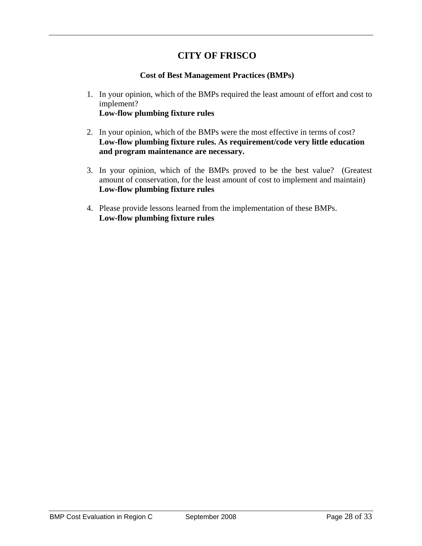# **CITY OF FRISCO**

#### **Cost of Best Management Practices (BMPs)**

- 1. In your opinion, which of the BMPs required the least amount of effort and cost to implement? **Low-flow plumbing fixture rules**
- 2. In your opinion, which of the BMPs were the most effective in terms of cost? **Low-flow plumbing fixture rules. As requirement/code very little education and program maintenance are necessary.**
- 3. In your opinion, which of the BMPs proved to be the best value? (Greatest amount of conservation, for the least amount of cost to implement and maintain) **Low-flow plumbing fixture rules**
- 4. Please provide lessons learned from the implementation of these BMPs. **Low-flow plumbing fixture rules**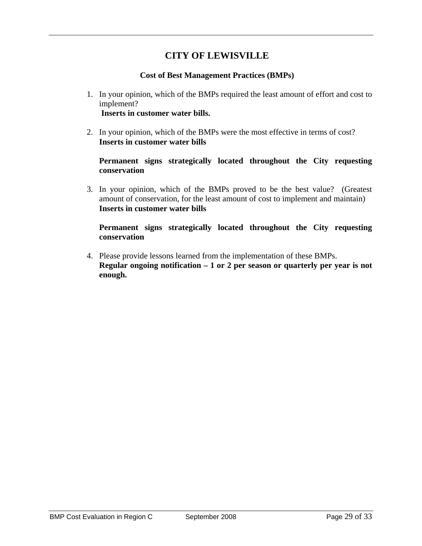# **CITY OF LEWISVILLE**

#### **Cost of Best Management Practices (BMPs)**

- 1. In your opinion, which of the BMPs required the least amount of effort and cost to implement?  **Inserts in customer water bills.**
- 2. In your opinion, which of the BMPs were the most effective in terms of cost? **Inserts in customer water bills**

**Permanent signs strategically located throughout the City requesting conservation** 

3. In your opinion, which of the BMPs proved to be the best value? (Greatest amount of conservation, for the least amount of cost to implement and maintain) **Inserts in customer water bills** 

**Permanent signs strategically located throughout the City requesting conservation** 

4. Please provide lessons learned from the implementation of these BMPs. **Regular ongoing notification – 1 or 2 per season or quarterly per year is not enough.**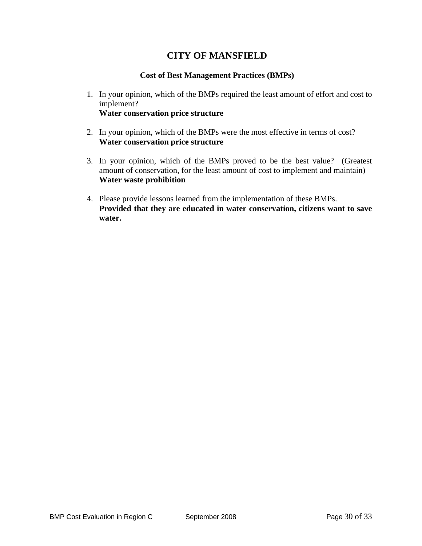# **CITY OF MANSFIELD**

#### **Cost of Best Management Practices (BMPs)**

- 1. In your opinion, which of the BMPs required the least amount of effort and cost to implement? **Water conservation price structure**
- 2. In your opinion, which of the BMPs were the most effective in terms of cost? **Water conservation price structure**
- 3. In your opinion, which of the BMPs proved to be the best value? (Greatest amount of conservation, for the least amount of cost to implement and maintain) **Water waste prohibition**
- 4. Please provide lessons learned from the implementation of these BMPs. **Provided that they are educated in water conservation, citizens want to save water.**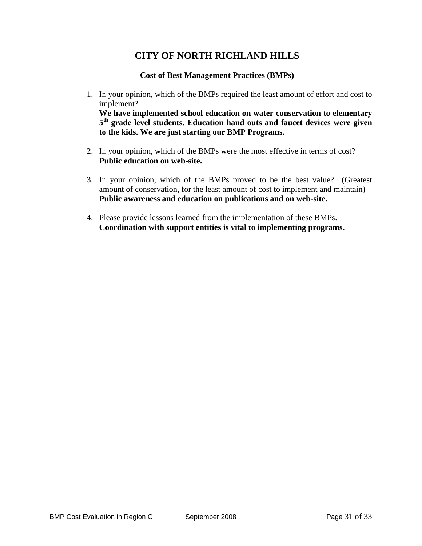# **CITY OF NORTH RICHLAND HILLS**

**Cost of Best Management Practices (BMPs)** 

1. In your opinion, which of the BMPs required the least amount of effort and cost to implement?

 **We have implemented school education on water conservation to elementary 5th grade level students. Education hand outs and faucet devices were given to the kids. We are just starting our BMP Programs.** 

- 2. In your opinion, which of the BMPs were the most effective in terms of cost?  **Public education on web-site.**
- 3. In your opinion, which of the BMPs proved to be the best value? (Greatest amount of conservation, for the least amount of cost to implement and maintain)  **Public awareness and education on publications and on web-site.**
- 4. Please provide lessons learned from the implementation of these BMPs. **Coordination with support entities is vital to implementing programs.**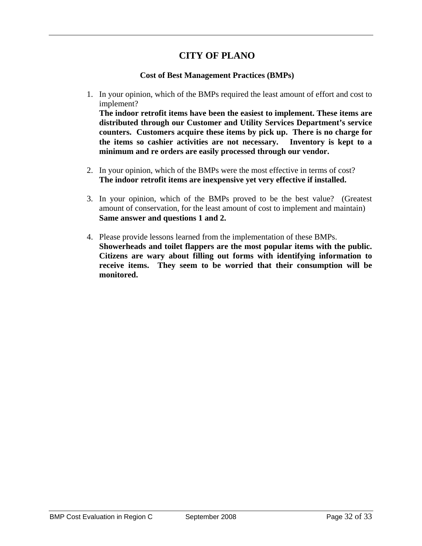## **CITY OF PLANO**

#### **Cost of Best Management Practices (BMPs)**

1. In your opinion, which of the BMPs required the least amount of effort and cost to implement?

**The indoor retrofit items have been the easiest to implement. These items are distributed through our Customer and Utility Services Department's service counters. Customers acquire these items by pick up. There is no charge for the items so cashier activities are not necessary. Inventory is kept to a minimum and re orders are easily processed through our vendor.** 

- 2. In your opinion, which of the BMPs were the most effective in terms of cost? **The indoor retrofit items are inexpensive yet very effective if installed.**
- 3. In your opinion, which of the BMPs proved to be the best value? (Greatest amount of conservation, for the least amount of cost to implement and maintain) **Same answer and questions 1 and 2.**
- 4. Please provide lessons learned from the implementation of these BMPs. **Showerheads and toilet flappers are the most popular items with the public. Citizens are wary about filling out forms with identifying information to receive items. They seem to be worried that their consumption will be monitored.**